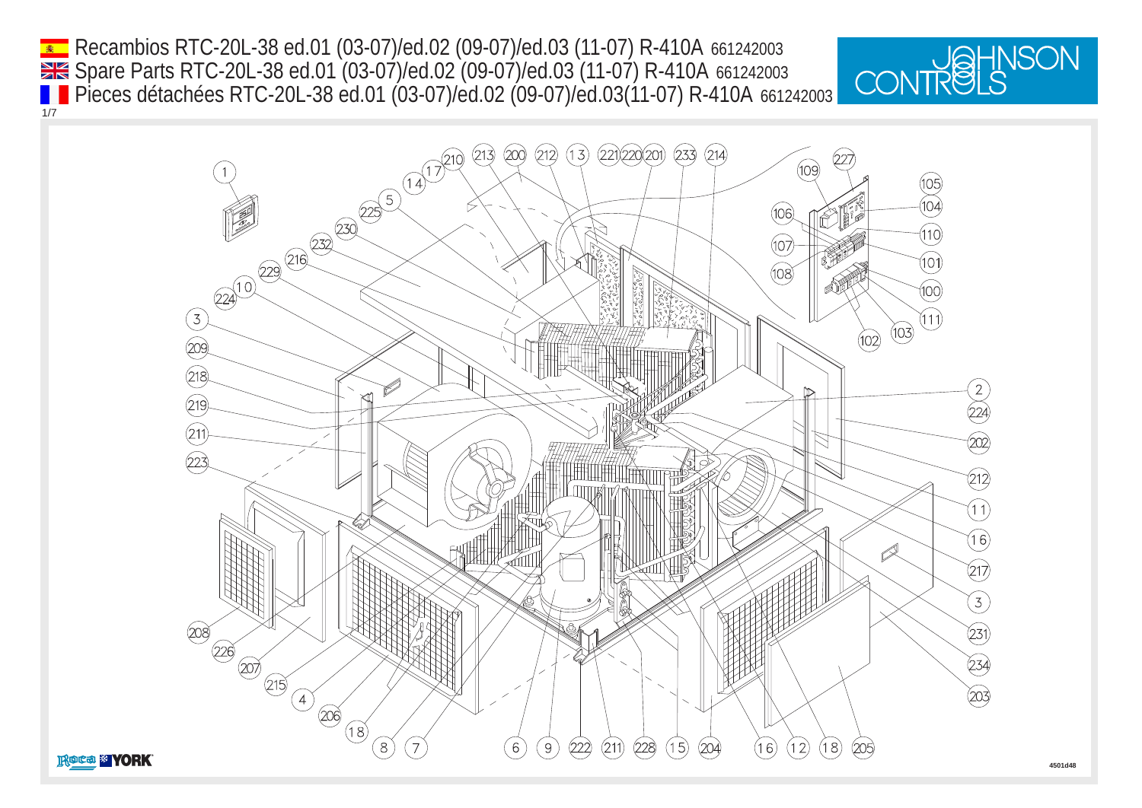Recambios RTC-20L-38 ed.01 (03-07)/ed.02 (09-07)/ed.03 (11-07) R-410A 661242003 1/7 Spare Parts RTC-20L-38 ed.01 (03-07)/ed.02 (09-07)/ed.03 (11-07) R-410A 661242003 Pieces détachées RTC-20L-38 ed.01 (03-07)/ed.02 (09-07)/ed.03(11-07) R-410A 661242003



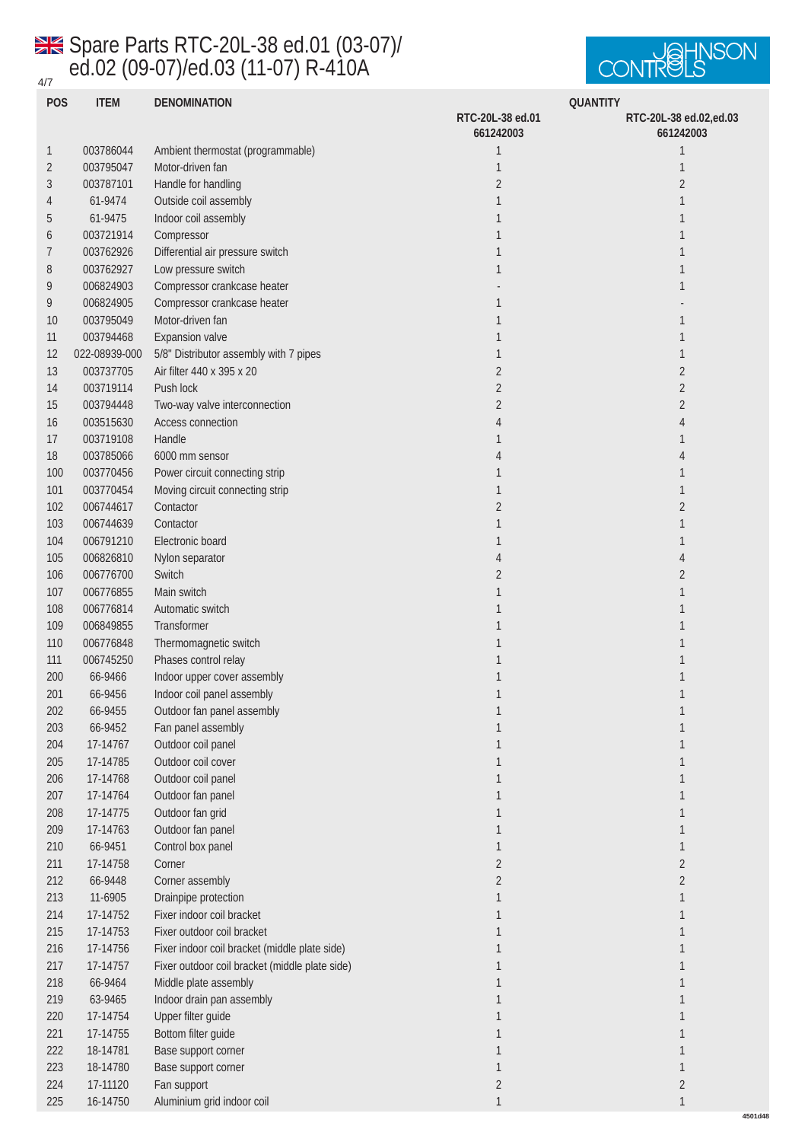## 4/7 Spare Parts RTC-20L-38 ed.01 (03-07)/ ed.02 (09-07)/ed.03 (11-07) R-410A



| <b>POS</b>       | <b>ITEM</b>   | <b>DENOMINATION</b>                            | <b>QUANTITY</b>               |                                     |
|------------------|---------------|------------------------------------------------|-------------------------------|-------------------------------------|
|                  |               |                                                | RTC-20L-38 ed.01<br>661242003 | RTC-20L-38 ed.02,ed.03<br>661242003 |
| $\mathbf{1}$     | 003786044     | Ambient thermostat (programmable)              | 1                             | $\mathbf{1}$                        |
| $\boldsymbol{2}$ | 003795047     | Motor-driven fan                               | 1                             | $\mathbf{1}$                        |
| 3                | 003787101     | Handle for handling                            | $\boldsymbol{2}$              | $\boldsymbol{2}$                    |
|                  |               |                                                |                               |                                     |
| 4                | 61-9474       | Outside coil assembly                          |                               | 1                                   |
| $\overline{5}$   | 61-9475       | Indoor coil assembly                           |                               | 1                                   |
| 6                | 003721914     | Compressor                                     |                               |                                     |
| 7                | 003762926     | Differential air pressure switch               |                               | 1                                   |
| 8                | 003762927     | Low pressure switch                            | 1                             | 1                                   |
| 9                | 006824903     | Compressor crankcase heater                    |                               | 1                                   |
| 9                | 006824905     | Compressor crankcase heater                    | 1                             |                                     |
| 10               | 003795049     | Motor-driven fan                               |                               | 1                                   |
| 11               | 003794468     | <b>Expansion</b> valve                         |                               | 1                                   |
| 12               | 022-08939-000 | 5/8" Distributor assembly with 7 pipes         |                               | 1                                   |
| 13               | 003737705     | Air filter 440 x 395 x 20                      | $\boldsymbol{2}$              | $\boldsymbol{2}$                    |
| 14               | 003719114     | Push lock                                      | $\boldsymbol{2}$              | $\boldsymbol{2}$                    |
| 15               | 003794448     | Two-way valve interconnection                  | $\boldsymbol{2}$              | $\boldsymbol{2}$                    |
| 16               | 003515630     | Access connection                              | 4                             | 4                                   |
| 17               | 003719108     | Handle                                         |                               | 1                                   |
| 18               | 003785066     | 6000 mm sensor                                 | 4                             | 4                                   |
| 100              | 003770456     | Power circuit connecting strip                 |                               | 1                                   |
| 101              | 003770454     | Moving circuit connecting strip                | 1                             | 1                                   |
| 102              | 006744617     | Contactor                                      | 2                             | $\boldsymbol{2}$                    |
| 103              | 006744639     | Contactor                                      |                               | 1                                   |
| 104              | 006791210     | Electronic board                               |                               | 1                                   |
| 105              | 006826810     | Nylon separator                                | 4                             | 4                                   |
| 106              | 006776700     | Switch                                         | 2                             | $\boldsymbol{2}$                    |
| 107              | 006776855     | Main switch                                    | 1                             | 1                                   |
| 108              | 006776814     | Automatic switch                               |                               | 1                                   |
| 109              | 006849855     | <b>Transformer</b>                             |                               |                                     |
| 110              | 006776848     | Thermomagnetic switch                          |                               |                                     |
| 111              | 006745250     | Phases control relay                           |                               |                                     |
| 200              | 66-9466       | Indoor upper cover assembly                    | 1                             | 1                                   |
| 201              | 66-9456       | Indoor coil panel assembly                     | 1                             | $\mathbf{1}$                        |
| 202              | 66-9455       | Outdoor fan panel assembly                     |                               |                                     |
| 203              | 66-9452       | Fan panel assembly                             |                               |                                     |
| 204              | 17-14767      | Outdoor coil panel                             |                               | 1                                   |
| 205              | 17-14785      | Outdoor coil cover                             |                               | 1                                   |
| 206              | 17-14768      | Outdoor coil panel                             | 1                             | $\mathbf{1}$                        |
| $207\,$          | 17-14764      | Outdoor fan panel                              | 1                             | $\mathbf{1}$                        |
| 208              | 17-14775      | Outdoor fan grid                               |                               | 1                                   |
| 209              | 17-14763      | Outdoor fan panel                              | 1                             | 1                                   |
| 210              | 66-9451       | Control box panel                              | 1                             | 1                                   |
| 211              | 17-14758      | Corner                                         | $\boldsymbol{2}$              | $\boldsymbol{2}$                    |
| 212              | 66-9448       | Corner assembly                                | $\boldsymbol{2}$              | $\boldsymbol{2}$                    |
| 213              | 11-6905       | Drainpipe protection                           | 1                             | 1                                   |
| 214              | 17-14752      | Fixer indoor coil bracket                      | 1                             | 1                                   |
| 215              | 17-14753      | Fixer outdoor coil bracket                     | 1                             | 1                                   |
| 216              | 17-14756      | Fixer indoor coil bracket (middle plate side)  | 1                             | 1                                   |
| 217              | 17-14757      | Fixer outdoor coil bracket (middle plate side) | $\mathbf{1}$                  | $\mathbf{1}$                        |
| 218              | 66-9464       | Middle plate assembly                          | 1                             | $\mathbf{1}$                        |
| 219              | 63-9465       | Indoor drain pan assembly                      | 1                             | $\mathbf{1}$                        |
| 220              | 17-14754      | Upper filter guide                             | 1                             | $\mathbf{1}$                        |
| 221              | 17-14755      | Bottom filter guide                            |                               | 1                                   |
| $222\,$          | 18-14781      | Base support corner                            |                               | 1                                   |
| 223              | 18-14780      | Base support corner                            | 1                             | $\mathbf{1}$                        |
| 224              | 17-11120      | Fan support                                    | $\boldsymbol{2}$              | $\sqrt{2}$                          |
| $225\,$          | 16-14750      | Aluminium grid indoor coil                     |                               | 1                                   |
|                  |               |                                                |                               |                                     |